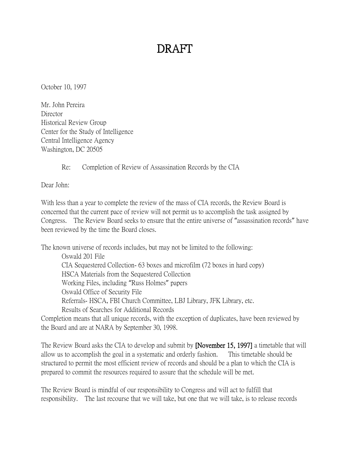## DRAFT

October 10, 1997

Mr. John Pereira **Director** Historical Review Group Center for the Study of Intelligence Central Intelligence Agency Washington, DC 20505

Re: Completion of Review of Assassination Records by the CIA

Dear John:

With less than a year to complete the review of the mass of CIA records, the Review Board is concerned that the current pace of review will not permit us to accomplish the task assigned by Congress. The Review Board seeks to ensure that the entire universe of "assassination records" have been reviewed by the time the Board closes.

The known universe of records includes, but may not be limited to the following:

Oswald 201 File CIA Sequestered Collection- 63 boxes and microfilm (72 boxes in hard copy) HSCA Materials from the Sequestered Collection Working Files, including "Russ Holmes" papers Oswald Office of Security File Referrals- HSCA, FBI Church Committee, LBJ Library, JFK Library, etc. Results of Searches for Additional Records

Completion means that all unique records, with the exception of duplicates, have been reviewed by the Board and are at NARA by September 30, 1998.

The Review Board asks the CIA to develop and submit by [November 15, 1997] a timetable that will allow us to accomplish the goal in a systematic and orderly fashion. This timetable should be structured to permit the most efficient review of records and should be a plan to which the CIA is prepared to commit the resources required to assure that the schedule will be met.

The Review Board is mindful of our responsibility to Congress and will act to fulfill that responsibility. The last recourse that we will take, but one that we will take, is to release records